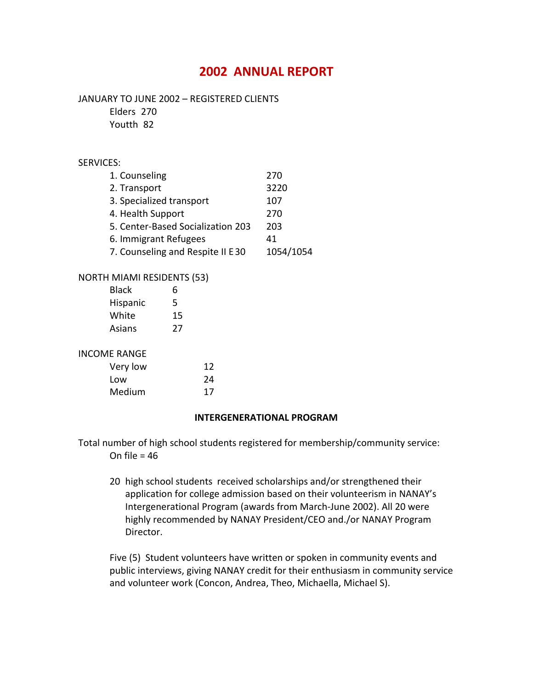# **2002 ANNUAL REPORT**

#### JANUARY TO JUNE 2002 – REGISTERED CLIENTS

Elders 270

Youtth 82

## SERVICES:

| 1. Counseling                     | 270       |
|-----------------------------------|-----------|
| 2. Transport                      | 3220      |
| 3. Specialized transport          | 107       |
| 4. Health Support                 | 270       |
| 5. Center-Based Socialization 203 | 203       |
| 6. Immigrant Refugees             | 41        |
| 7. Counseling and Respite II E30  | 1054/1054 |
|                                   |           |

## NORTH MIAMI RESIDENTS (53)

| <b>Black</b> | 6  |
|--------------|----|
| Hispanic     | 5  |
| White        | 15 |
| Asians       | 27 |

#### INCOME RANGE

| Very low | 12 |
|----------|----|
| Low      | 24 |
| Medium   | 17 |

#### **INTERGENERATIONAL PROGRAM**

Total number of high school students registered for membership/community service: On file  $= 46$ 

20 high school students received scholarships and/or strengthened their application for college admission based on their volunteerism in NANAY's Intergenerational Program (awards from March-June 2002). All 20 were highly recommended by NANAY President/CEO and./or NANAY Program Director.

Five (5) Student volunteers have written or spoken in community events and public interviews, giving NANAY credit for their enthusiasm in community service and volunteer work (Concon, Andrea, Theo, Michaella, Michael S).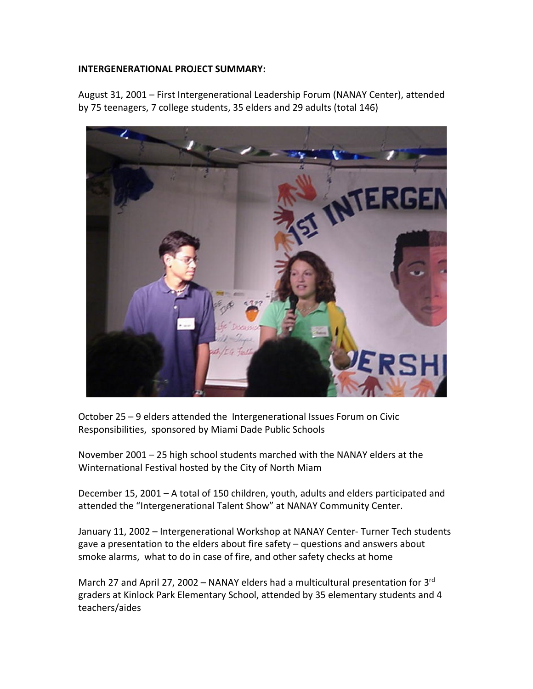## **INTERGENERATIONAL PROJECT SUMMARY:**

August 31, 2001 – First Intergenerational Leadership Forum (NANAY Center), attended by 75 teenagers, 7 college students, 35 elders and 29 adults (total 146)



October 25 – 9 elders attended the Intergenerational Issues Forum on Civic Responsibilities, sponsored by Miami Dade Public Schools

November 2001 – 25 high school students marched with the NANAY elders at the Winternational Festival hosted by the City of North Miam

December 15, 2001 – A total of 150 children, youth, adults and elders participated and attended the "Intergenerational Talent Show" at NANAY Community Center.

January 11, 2002 – Intergenerational Workshop at NANAY Center- Turner Tech students gave a presentation to the elders about fire safety – questions and answers about smoke alarms, what to do in case of fire, and other safety checks at home

March 27 and April 27, 2002 – NANAY elders had a multicultural presentation for 3<sup>rd</sup> graders at Kinlock Park Elementary School, attended by 35 elementary students and 4 teachers/aides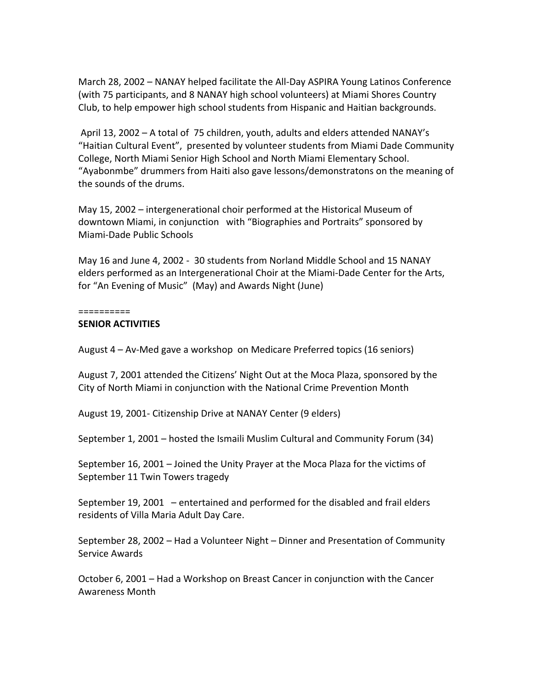March 28, 2002 – NANAY helped facilitate the All-Day ASPIRA Young Latinos Conference (with 75 participants, and 8 NANAY high school volunteers) at Miami Shores Country Club, to help empower high school students from Hispanic and Haitian backgrounds.

April 13, 2002 – A total of 75 children, youth, adults and elders attended NANAY's "Haitian Cultural Event", presented by volunteer students from Miami Dade Community College, North Miami Senior High School and North Miami Elementary School. "Ayabonmbe" drummers from Haiti also gave lessons/demonstratons on the meaning of the sounds of the drums.

May 15, 2002 – intergenerational choir performed at the Historical Museum of downtown Miami, in conjunction with "Biographies and Portraits" sponsored by Miami-Dade Public Schools

May 16 and June 4, 2002 - 30 students from Norland Middle School and 15 NANAY elders performed as an Intergenerational Choir at the Miami-Dade Center for the Arts, for "An Evening of Music" (May) and Awards Night (June)

==========

#### **SENIOR ACTIVITIES**

August 4 – Av-Med gave a workshop on Medicare Preferred topics (16 seniors)

August 7, 2001 attended the Citizens' Night Out at the Moca Plaza, sponsored by the City of North Miami in conjunction with the National Crime Prevention Month

August 19, 2001- Citizenship Drive at NANAY Center (9 elders)

September 1, 2001 – hosted the Ismaili Muslim Cultural and Community Forum (34)

September 16, 2001 – Joined the Unity Prayer at the Moca Plaza for the victims of September 11 Twin Towers tragedy

September 19, 2001 – entertained and performed for the disabled and frail elders residents of Villa Maria Adult Day Care.

September 28, 2002 – Had a Volunteer Night – Dinner and Presentation of Community Service Awards

October 6, 2001 – Had a Workshop on Breast Cancer in conjunction with the Cancer Awareness Month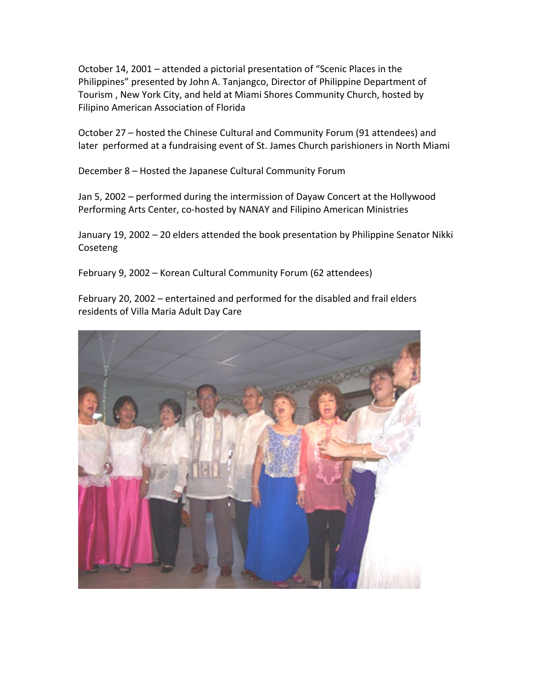October 14, 2001 – attended a pictorial presentation of "Scenic Places in the Philippines" presented by John A. Tanjangco, Director of Philippine Department of Tourism , New York City, and held at Miami Shores Community Church, hosted by Filipino American Association of Florida

October 27 – hosted the Chinese Cultural and Community Forum (91 attendees) and later performed at a fundraising event of St. James Church parishioners in North Miami

December 8 – Hosted the Japanese Cultural Community Forum

Jan 5, 2002 – performed during the intermission of Dayaw Concert at the Hollywood Performing Arts Center, co-hosted by NANAY and Filipino American Ministries

January 19, 2002 – 20 elders attended the book presentation by Philippine Senator Nikki Coseteng

February 9, 2002 – Korean Cultural Community Forum (62 attendees)

February 20, 2002 – entertained and performed for the disabled and frail elders residents of Villa Maria Adult Day Care